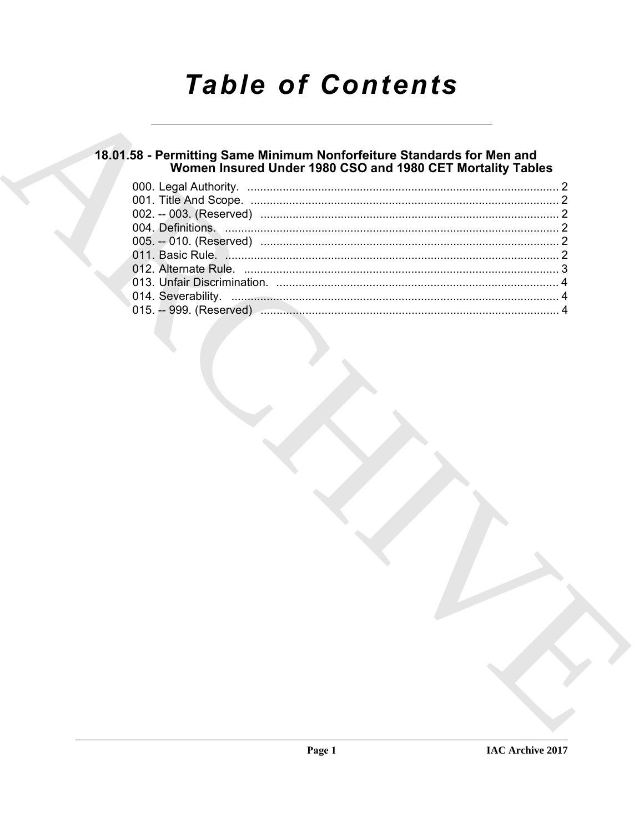# **Table of Contents**

# 18.01.58 - Permitting Same Minimum Nonforfeiture Standards for Men and<br>Women Insured Under 1980 CSO and 1980 CET Mortality Tables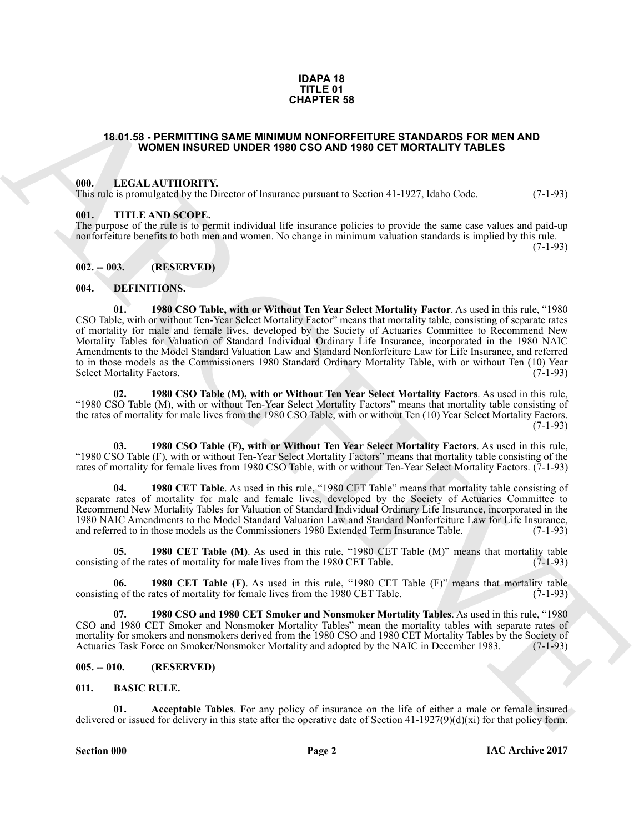#### **IDAPA 18 TITLE 01 CHAPTER 58**

#### <span id="page-1-0"></span>**18.01.58 - PERMITTING SAME MINIMUM NONFORFEITURE STANDARDS FOR MEN AND WOMEN INSURED UNDER 1980 CSO AND 1980 CET MORTALITY TABLES**

#### <span id="page-1-1"></span>**000. LEGAL AUTHORITY.**

This rule is promulgated by the Director of Insurance pursuant to Section 41-1927, Idaho Code. (7-1-93)

#### <span id="page-1-2"></span>**001. TITLE AND SCOPE.**

The purpose of the rule is to permit individual life insurance policies to provide the same case values and paid-up nonforfeiture benefits to both men and women. No change in minimum valuation standards is implied by this rule.

(7-1-93)

#### <span id="page-1-3"></span>**002. -- 003. (RESERVED)**

#### <span id="page-1-16"></span><span id="page-1-9"></span><span id="page-1-4"></span>**004. DEFINITIONS.**

**CHAPTER 58**<br> **CHAPTER 58**<br> **COLUME INSURED UNDER MORMANDS POPER TIME STANDARDS POR MEN AND<br>
WOMEN INSURED UNDER 1986 CSO AND 1980 CET MORTALITY FASLES<br>
1991. LICENT ATTIONATY Process of Enters and CSO AND 1980 CET MORTAL 01. 1980 CSO Table, with or Without Ten Year Select Mortality Factor**. As used in this rule, "1980 CSO Table, with or without Ten-Year Select Mortality Factor" means that mortality table, consisting of separate rates of mortality for male and female lives, developed by the Society of Actuaries Committee to Recommend New Mortality Tables for Valuation of Standard Individual Ordinary Life Insurance, incorporated in the 1980 NAIC Amendments to the Model Standard Valuation Law and Standard Nonforfeiture Law for Life Insurance, and referred to in those models as the Commissioners 1980 Standard Ordinary Mortality Table, with or without Ten (10) Year<br>Select Mortality Factors. (7-1-93) Select Mortality Factors.

<span id="page-1-15"></span>**02. 1980 CSO Table (M), with or Without Ten Year Select Mortality Factors**. As used in this rule, "1980 CSO Table (M), with or without Ten-Year Select Mortality Factors" means that mortality table consisting of the rates of mortality for male lives from the 1980 CSO Table, with or without Ten (10) Year Select Mortality Factors.  $(7-1-93)$ 

<span id="page-1-14"></span>**03. 1980 CSO Table (F), with or Without Ten Year Select Mortality Factors**. As used in this rule, "1980 CSO Table (F), with or without Ten-Year Select Mortality Factors" means that mortality table consisting of the rates of mortality for female lives from 1980 CSO Table, with or without Ten-Year Select Mortality Factors. (7-1-93)

<span id="page-1-12"></span>**04. 1980 CET Table**. As used in this rule, "1980 CET Table" means that mortality table consisting of separate rates of mortality for male and female lives, developed by the Society of Actuaries Committee to Recommend New Mortality Tables for Valuation of Standard Individual Ordinary Life Insurance, incorporated in the 1980 NAIC Amendments to the Model Standard Valuation Law and Standard Nonforfeiture Law for Life Insurance, and referred to in those models as the Commissioners 1980 Extended Term Insurance Table.

<span id="page-1-11"></span>**1980 CET Table (M)**. As used in this rule, "1980 CET Table (M)" means that mortality table ates of mortality for male lives from the 1980 CET Table. (7-1-93) consisting of the rates of mortality for male lives from the 1980 CET Table.

<span id="page-1-10"></span>**06. 1980 CET Table (F)**. As used in this rule, "1980 CET Table (F)" means that mortality table consisting of the rates of mortality for female lives from the 1980 CET Table. (7-1-93)

<span id="page-1-13"></span>**07. 1980 CSO and 1980 CET Smoker and Nonsmoker Mortality Tables**. As used in this rule, "1980 CSO and 1980 CET Smoker and Nonsmoker Mortality Tables" mean the mortality tables with separate rates of mortality for smokers and nonsmokers derived from the 1980 CSO and 1980 CET Mortality Tables by the Society of<br>Actuaries Task Force on Smoker/Nonsmoker Mortality and adopted by the NAIC in December 1983. (7-1-93) Actuaries Task Force on Smoker/Nonsmoker Mortality and adopted by the NAIC in December 1983.

#### <span id="page-1-5"></span>**005. -- 010. (RESERVED)**

#### <span id="page-1-7"></span><span id="page-1-6"></span>**011. BASIC RULE.**

<span id="page-1-8"></span>**01. Acceptable Tables**. For any policy of insurance on the life of either a male or female insured delivered or issued for delivery in this state after the operative date of Section  $41-1927(9)(d)(xi)$  for that policy form.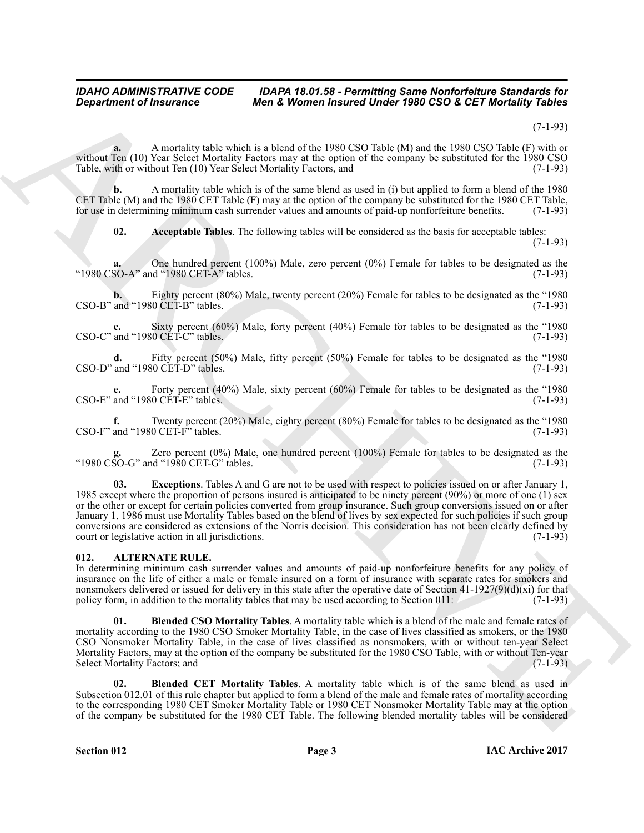#### *IDAHO ADMINISTRATIVE CODE IDAPA 18.01.58 - Permitting Same Nonforfeiture Standards for*<br>Department of Insurance Men & Women Insured Under 1980 CSO & CET Mortality Tables *Men & Women Insured Under 1980 CSO & CET Mortality Tables*

(7-1-93)

**a.** A mortality table which is a blend of the 1980 CSO Table (M) and the 1980 CSO Table (F) with or without Ten (10) Year Select Mortality Factors may at the option of the company be substituted for the 1980 CSO Table, with or without Ten (10) Year Select Mortality Factors, and (7-1-93)

**b.** A mortality table which is of the same blend as used in (i) but applied to form a blend of the 1980 CET Table (M) and the 1980 CET Table (F) may at the option of the company be substituted for the 1980 CET Table, for use in determining minimum cash surrender values and amounts of paid-up nonforfeiture benefits. (7-1-93)

<span id="page-2-4"></span>**02. Acceptable Tables**. The following tables will be considered as the basis for acceptable tables: (7-1-93)

**a.** One hundred percent (100%) Male, zero percent (0%) Female for tables to be designated as the "1980 CSO-A" and "1980 CET-A" tables. (7-1-93)

**b.** Eighty percent (80%) Male, twenty percent (20%) Female for tables to be designated as the "1980 and "1980 CET-B" tables. (7-1-93)  $\text{CSO-B}$ " and "1980  $\text{CET-B}$ " tables.

Sixty percent (60%) Male, forty percent (40%) Female for tables to be designated as the "1980  $\text{CSO-C}^{\text{v}}$  and "1980 CET-C" tables. (7-1-93)

**d.** Fifty percent (50%) Male, fifty percent (50%) Female for tables to be designated as the "1980 CSO-D" and "1980 CET-D" tables. (7-1-93)

**e.** Forty percent (40%) Male, sixty percent (60%) Female for tables to be designated as the "1980 and "1980 CET-E" tables. (7-1-93)  $\text{CSO-E}^{\prime\prime}$  and "1980  $\text{CET-E}^{\prime\prime}$  tables.

**f.** Twenty percent (20%) Male, eighty percent (80%) Female for tables to be designated as the "1980 and "1980 CET-F" tables. (7-1-93) CSO-F" and "1980 CET-F" tables.

<span id="page-2-5"></span>**g.** Zero percent (0%) Male, one hundred percent (100%) Female for tables to be designated as the " $1980 \overline{\text{CSO}}$ -G" and " $1980 \overline{\text{CET}}$ -G" tables.

*Great from the Hartress* Constraints of the same of the same of the same of the same of the same of the same of the same of the same of the same of the same of the same of the same of the same of the same of the same o **03. Exceptions**. Tables A and G are not to be used with respect to policies issued on or after January 1, 1985 except where the proportion of persons insured is anticipated to be ninety percent (90%) or more of one (1) sex or the other or except for certain policies converted from group insurance. Such group conversions issued on or after January 1, 1986 must use Mortality Tables based on the blend of lives by sex expected for such policies if such group conversions are considered as extensions of the Norris decision. This consideration has not been clearly defined by court or legislative action in all jurisdictions.

#### <span id="page-2-1"></span><span id="page-2-0"></span>**012. ALTERNATE RULE.**

In determining minimum cash surrender values and amounts of paid-up nonforfeiture benefits for any policy of insurance on the life of either a male or female insured on a form of insurance with separate rates for smokers and nonsmokers delivered or issued for delivery in this state after the operative date of Section 41-1927(9)(d)(xi) for that policy form, in addition to the mortality tables that may be used according to Section 011:  $(7-1-93$ policy form, in addition to the mortality tables that may be used according to Section  $011$ :

<span id="page-2-3"></span>**01. Blended CSO Mortality Tables**. A mortality table which is a blend of the male and female rates of mortality according to the 1980 CSO Smoker Mortality Table, in the case of lives classified as smokers, or the 1980 CSO Nonsmoker Mortality Table, in the case of lives classified as nonsmokers, with or without ten-year Select Mortality Factors, may at the option of the company be substituted for the 1980 CSO Table, with or without Ten-year Select Mortality Factors; and (7-1-93)

<span id="page-2-2"></span>**02. Blended CET Mortality Tables**. A mortality table which is of the same blend as used in Subsection 012.01 of this rule chapter but applied to form a blend of the male and female rates of mortality according to the corresponding 1980 CET Smoker Mortality Table or 1980 CET Nonsmoker Mortality Table may at the option of the company be substituted for the 1980 CET Table. The following blended mortality tables will be considered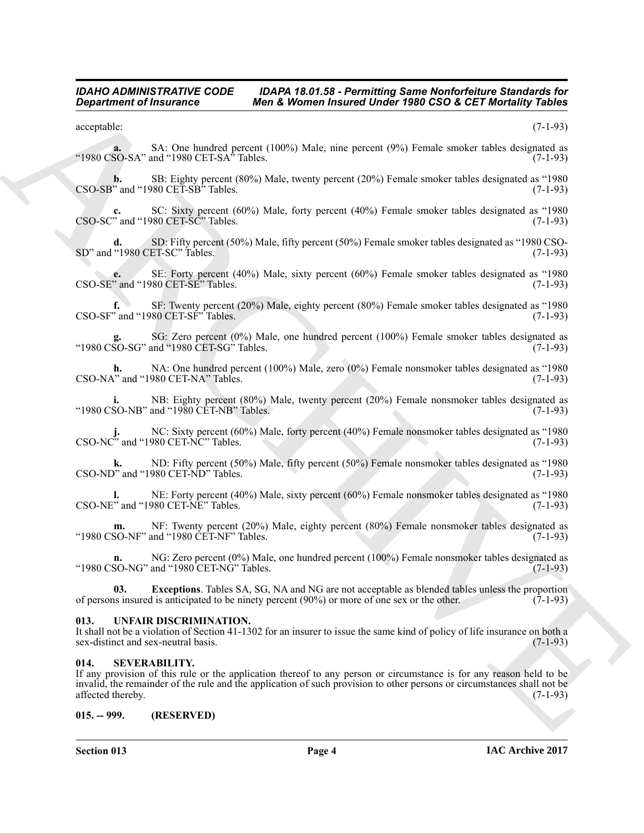#### *IDAHO ADMINISTRATIVE CODE IDAPA 18.01.58 - Permitting Same Nonforfeiture Standards for*<br>Department of Insurance Men & Women Insured Under 1980 CSO & CET Mortality Tables **Men & Women Insured Under 1980 CSO & CET Mortality Tables**

acceptable: (7-1-93)

**a.** SA: One hundred percent (100%) Male, nine percent (9%) Female smoker tables designated as "1980 CSO-SA" and "1980 CET-SA" Tables.  $(7-1-93)$ 

**b.** SB: Eighty percent (80%) Male, twenty percent (20%) Female smoker tables designated as "1980  $\overline{\text{CSO-SB}}$ " and "1980  $\overline{\text{CET-SB}}$ " Tables.

**c.** SC: Sixty percent (60%) Male, forty percent (40%) Female smoker tables designated as "1980 CSO-SC" and "1980 CET-SC" Tables. (7-1-93)

**d.** SD: Fifty percent (50%) Male, fifty percent (50%) Female smoker tables designated as "1980 CSO-<br>"1980 CET-SC" Tables. (7-1-93) SD" and "1980 CET-SC" Tables.

**e.** SE: Forty percent (40%) Male, sixty percent (60%) Female smoker tables designated as "1980 CSO-SE" and "1980 CET-SE" Tables.

**f.** SF: Twenty percent (20%) Male, eighty percent (80%) Female smoker tables designated as "1980 CSO-SF" and "1980 CET-SF" Tables. (7-1-93)

**g.** SG: Zero percent (0%) Male, one hundred percent (100%) Female smoker tables designated as "1980  $\overline{\text{CSO-SG}}$ " and "1980  $\overline{\text{CET-SG}}$ " Tables.

**h.** NA: One hundred percent (100%) Male, zero (0%) Female nonsmoker tables designated as "1980  $\text{CSO-NA}$ " and "1980 CET-NA" Tables. (7-1-93)

**i.** NB: Eighty percent (80%) Male, twenty percent (20%) Female nonsmoker tables designated as "1980 CSO-NB" and "1980 CET-NB" Tables. (7-1-93)

**j.** NC: Sixty percent (60%) Male, forty percent (40%) Female nonsmoker tables designated as "1980 J. INC. SIALY PULCINE (100)<br>CSO-NC" and "1980 CET-NC" Tables.

**k.** ND: Fifty percent (50%) Male, fifty percent (50%) Female nonsmoker tables designated as "1980  $\text{CSO-ND}^{\text{v}}$  and "1980 CET-ND" Tables. (7-1-93)

**l.** NE: Forty percent (40%) Male, sixty percent (60%) Female nonsmoker tables designated as "1980 CSO-NE" and "1980 CET-NE" Tables. (7-1-93)

**m.** NF: Twenty percent (20%) Male, eighty percent (80%) Female nonsmoker tables designated as SO-NF" and "1980 CET-NF" Tables. (7-1-93) "1980 CSO-NF" and "1980  $\text{CET-NF}$ " Tables.

**n.** NG: Zero percent (0%) Male, one hundred percent (100%) Female nonsmoker tables designated as "1980 CSO-NG" and "1980 CET-NG" Tables. (7-1-93)

<span id="page-3-3"></span>**03.** Exceptions. Tables SA, SG, NA and NG are not acceptable as blended tables unless the proportion is insured is anticipated to be ninety percent (90%) or more of one sex or the other. (7-1-93) of persons insured is anticipated to be ninety percent  $(90%)$  or more of one sex or the other.

#### <span id="page-3-0"></span>**013. UNFAIR DISCRIMINATION.**

It shall not be a violation of Section 41-1302 for an insurer to issue the same kind of policy of life insurance on both a sex-distinct and sex-neutral basis.

#### <span id="page-3-1"></span>**014. SEVERABILITY.**

**Equation of Fraumace 1992 Men & Member Street (2015)** Variety 1980 CSO & CET Member Street (2015) and the second of the second of the second of the second of the second of the second of the second of the second of the If any provision of this rule or the application thereof to any person or circumstance is for any reason held to be invalid, the remainder of the rule and the application of such provision to other persons or circumstances shall not be affected thereby.

#### <span id="page-3-2"></span>**015. -- 999. (RESERVED)**

**Section 013 Page 4**